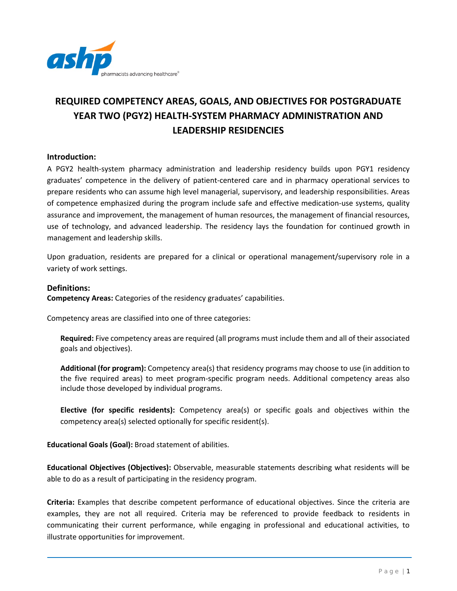

# **REQUIRED COMPETENCY AREAS, GOALS, AND OBJECTIVES FOR POSTGRADUATE YEAR TWO (PGY2) HEALTH-SYSTEM PHARMACY ADMINISTRATION AND LEADERSHIP RESIDENCIES**

#### **Introduction:**

A PGY2 health-system pharmacy administration and leadership residency builds upon PGY1 residency graduates' competence in the delivery of patient-centered care and in pharmacy operational services to prepare residents who can assume high level managerial, supervisory, and leadership responsibilities. Areas of competence emphasized during the program include safe and effective medication-use systems, quality assurance and improvement, the management of human resources, the management of financial resources, use of technology, and advanced leadership. The residency lays the foundation for continued growth in management and leadership skills.

Upon graduation, residents are prepared for a clinical or operational management/supervisory role in a variety of work settings.

#### **Definitions:**

**Competency Areas:** Categories of the residency graduates' capabilities.

Competency areas are classified into one of three categories:

**Required:** Five competency areas are required (all programs must include them and all of their associated goals and objectives).

**Additional (for program):** Competency area(s) that residency programs may choose to use (in addition to the five required areas) to meet program-specific program needs. Additional competency areas also include those developed by individual programs.

**Elective (for specific residents):** Competency area(s) or specific goals and objectives within the competency area(s) selected optionally for specific resident(s).

**Educational Goals (Goal):** Broad statement of abilities.

**Educational Objectives (Objectives):** Observable, measurable statements describing what residents will be able to do as a result of participating in the residency program.

**Criteria:** Examples that describe competent performance of educational objectives. Since the criteria are examples, they are not all required. Criteria may be referenced to provide feedback to residents in communicating their current performance, while engaging in professional and educational activities, to illustrate opportunities for improvement.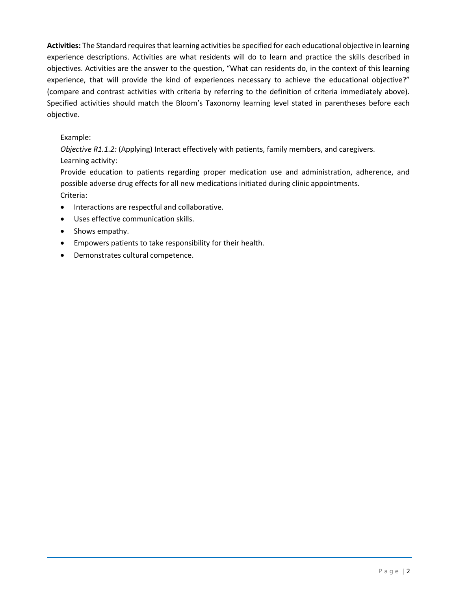**Activities:** The Standard requires that learning activities be specified for each educational objective in learning experience descriptions. Activities are what residents will do to learn and practice the skills described in objectives. Activities are the answer to the question, "What can residents do, in the context of this learning experience, that will provide the kind of experiences necessary to achieve the educational objective?" (compare and contrast activities with criteria by referring to the definition of criteria immediately above). Specified activities should match the Bloom's Taxonomy learning level stated in parentheses before each objective.

#### Example:

*Objective R1.1.2:* (Applying) Interact effectively with patients, family members, and caregivers. Learning activity:

Provide education to patients regarding proper medication use and administration, adherence, and possible adverse drug effects for all new medications initiated during clinic appointments. Criteria:

- Interactions are respectful and collaborative.
- Uses effective communication skills.
- Shows empathy.
- Empowers patients to take responsibility for their health.
- Demonstrates cultural competence.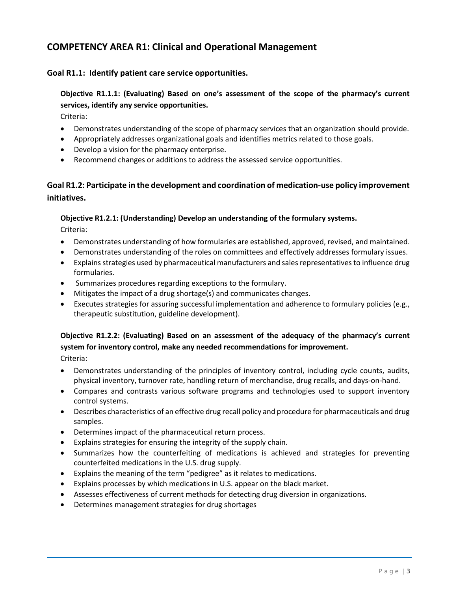# **COMPETENCY AREA R1: Clinical and Operational Management**

#### **Goal R1.1: Identify patient care service opportunities.**

# **Objective R1.1.1: (Evaluating) Based on one's assessment of the scope of the pharmacy's current services, identify any service opportunities.**

Criteria:

- Demonstrates understanding of the scope of pharmacy services that an organization should provide.
- Appropriately addresses organizational goals and identifies metrics related to those goals.
- Develop a vision for the pharmacy enterprise.
- Recommend changes or additions to address the assessed service opportunities.

## **Goal R1.2: Participate in the development and coordination of medication-use policy improvement initiatives.**

#### **Objective R1.2.1: (Understanding) Develop an understanding of the formulary systems.**

Criteria:

- Demonstrates understanding of how formularies are established, approved, revised, and maintained.
- Demonstrates understanding of the roles on committees and effectively addresses formulary issues.
- Explains strategies used by pharmaceutical manufacturers and sales representatives to influence drug formularies.
- Summarizes procedures regarding exceptions to the formulary.
- Mitigates the impact of a drug shortage(s) and communicates changes.
- Executes strategies for assuring successful implementation and adherence to formulary policies (e.g., therapeutic substitution, guideline development).

# **Objective R1.2.2: (Evaluating) Based on an assessment of the adequacy of the pharmacy's current system for inventory control, make any needed recommendations for improvement.**

- Demonstrates understanding of the principles of inventory control, including cycle counts, audits, physical inventory, turnover rate, handling return of merchandise, drug recalls, and days-on-hand.
- Compares and contrasts various software programs and technologies used to support inventory control systems.
- Describes characteristics of an effective drug recall policy and procedure for pharmaceuticals and drug samples.
- Determines impact of the pharmaceutical return process.
- Explains strategies for ensuring the integrity of the supply chain.
- Summarizes how the counterfeiting of medications is achieved and strategies for preventing counterfeited medications in the U.S. drug supply.
- Explains the meaning of the term "pedigree" as it relates to medications.
- Explains processes by which medications in U.S. appear on the black market.
- Assesses effectiveness of current methods for detecting drug diversion in organizations.
- Determines management strategies for drug shortages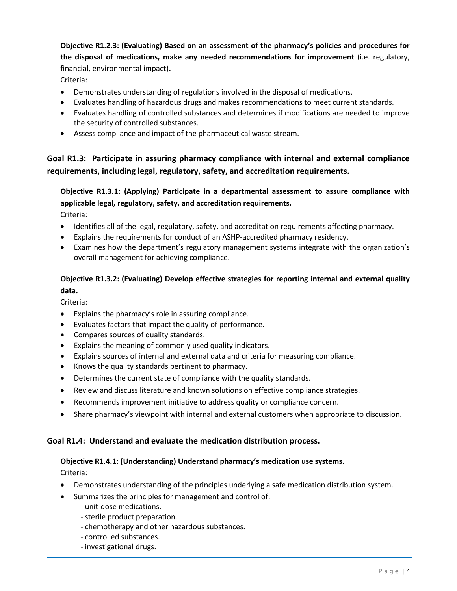**Objective R1.2.3: (Evaluating) Based on an assessment of the pharmacy's policies and procedures for the disposal of medications, make any needed recommendations for improvement** (i.e. regulatory, financial, environmental impact)**.**

Criteria:

- Demonstrates understanding of regulations involved in the disposal of medications.
- Evaluates handling of hazardous drugs and makes recommendations to meet current standards.
- Evaluates handling of controlled substances and determines if modifications are needed to improve the security of controlled substances.
- Assess compliance and impact of the pharmaceutical waste stream.

# **Goal R1.3: Participate in assuring pharmacy compliance with internal and external compliance requirements, including legal, regulatory, safety, and accreditation requirements.**

**Objective R1.3.1: (Applying) Participate in a departmental assessment to assure compliance with applicable legal, regulatory, safety, and accreditation requirements.** Criteria:

- Identifies all of the legal, regulatory, safety, and accreditation requirements affecting pharmacy.
- Explains the requirements for conduct of an ASHP-accredited pharmacy residency.
- Examines how the department's regulatory management systems integrate with the organization's overall management for achieving compliance.

## **Objective R1.3.2: (Evaluating) Develop effective strategies for reporting internal and external quality data.**

Criteria:

- Explains the pharmacy's role in assuring compliance.
- Evaluates factors that impact the quality of performance.
- Compares sources of quality standards.
- Explains the meaning of commonly used quality indicators.
- Explains sources of internal and external data and criteria for measuring compliance.
- Knows the quality standards pertinent to pharmacy.
- Determines the current state of compliance with the quality standards.
- Review and discuss literature and known solutions on effective compliance strategies.
- Recommends improvement initiative to address quality or compliance concern.
- Share pharmacy's viewpoint with internal and external customers when appropriate to discussion.

#### **Goal R1.4: Understand and evaluate the medication distribution process.**

#### **Objective R1.4.1: (Understanding) Understand pharmacy's medication use systems.**

- Demonstrates understanding of the principles underlying a safe medication distribution system.
- Summarizes the principles for management and control of:
	- unit-dose medications.
	- sterile product preparation.
	- chemotherapy and other hazardous substances.
	- controlled substances.
	- investigational drugs.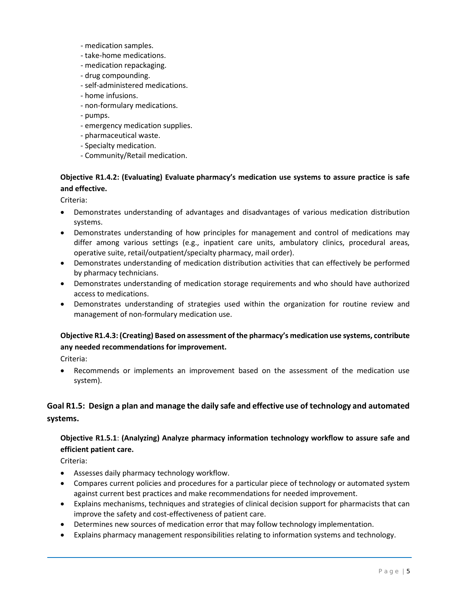- medication samples.
- take-home medications.
- medication repackaging.
- drug compounding.
- self-administered medications.
- home infusions.
- non-formulary medications.
- pumps.
- emergency medication supplies.
- pharmaceutical waste.
- Specialty medication.
- Community/Retail medication.

## **Objective R1.4.2: (Evaluating) Evaluate pharmacy's medication use systems to assure practice is safe and effective.**

Criteria:

- Demonstrates understanding of advantages and disadvantages of various medication distribution systems.
- Demonstrates understanding of how principles for management and control of medications may differ among various settings (e.g., inpatient care units, ambulatory clinics, procedural areas, operative suite, retail/outpatient/specialty pharmacy, mail order).
- Demonstrates understanding of medication distribution activities that can effectively be performed by pharmacy technicians.
- Demonstrates understanding of medication storage requirements and who should have authorized access to medications.
- Demonstrates understanding of strategies used within the organization for routine review and management of non-formulary medication use.

## **Objective R1.4.3: (Creating) Based on assessment of the pharmacy's medication use systems, contribute any needed recommendations for improvement.**

Criteria:

• Recommends or implements an improvement based on the assessment of the medication use system).

## **Goal R1.5: Design a plan and manage the daily safe and effective use of technology and automated systems.**

## **Objective R1.5.1**: **(Analyzing) Analyze pharmacy information technology workflow to assure safe and efficient patient care.**

- Assesses daily pharmacy technology workflow.
- Compares current policies and procedures for a particular piece of technology or automated system against current best practices and make recommendations for needed improvement.
- Explains mechanisms, techniques and strategies of clinical decision support for pharmacists that can improve the safety and cost-effectiveness of patient care.
- Determines new sources of medication error that may follow technology implementation.
- Explains pharmacy management responsibilities relating to information systems and technology.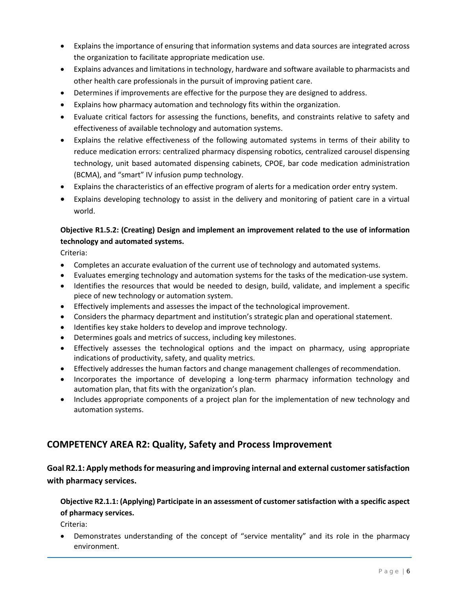- Explains the importance of ensuring that information systems and data sources are integrated across the organization to facilitate appropriate medication use.
- Explains advances and limitations in technology, hardware and software available to pharmacists and other health care professionals in the pursuit of improving patient care.
- Determines if improvements are effective for the purpose they are designed to address.
- Explains how pharmacy automation and technology fits within the organization.
- Evaluate critical factors for assessing the functions, benefits, and constraints relative to safety and effectiveness of available technology and automation systems.
- Explains the relative effectiveness of the following automated systems in terms of their ability to reduce medication errors: centralized pharmacy dispensing robotics, centralized carousel dispensing technology, unit based automated dispensing cabinets, CPOE, bar code medication administration (BCMA), and "smart" IV infusion pump technology.
- Explains the characteristics of an effective program of alerts for a medication order entry system.
- Explains developing technology to assist in the delivery and monitoring of patient care in a virtual world.

## **Objective R1.5.2: (Creating) Design and implement an improvement related to the use of information technology and automated systems.**

Criteria:

- Completes an accurate evaluation of the current use of technology and automated systems.
- Evaluates emerging technology and automation systems for the tasks of the medication-use system.
- Identifies the resources that would be needed to design, build, validate, and implement a specific piece of new technology or automation system.
- Effectively implements and assesses the impact of the technological improvement.
- Considers the pharmacy department and institution's strategic plan and operational statement.
- Identifies key stake holders to develop and improve technology.
- Determines goals and metrics of success, including key milestones.
- Effectively assesses the technological options and the impact on pharmacy, using appropriate indications of productivity, safety, and quality metrics.
- Effectively addresses the human factors and change management challenges of recommendation.
- Incorporates the importance of developing a long-term pharmacy information technology and automation plan, that fits with the organization's plan.
- Includes appropriate components of a project plan for the implementation of new technology and automation systems.

# **COMPETENCY AREA R2: Quality, Safety and Process Improvement**

## **Goal R2.1: Apply methods for measuring and improving internal and external customer satisfaction with pharmacy services.**

**Objective R2.1.1: (Applying) Participate in an assessment of customer satisfaction with a specific aspect of pharmacy services.**

Criteria:

• Demonstrates understanding of the concept of "service mentality" and its role in the pharmacy environment.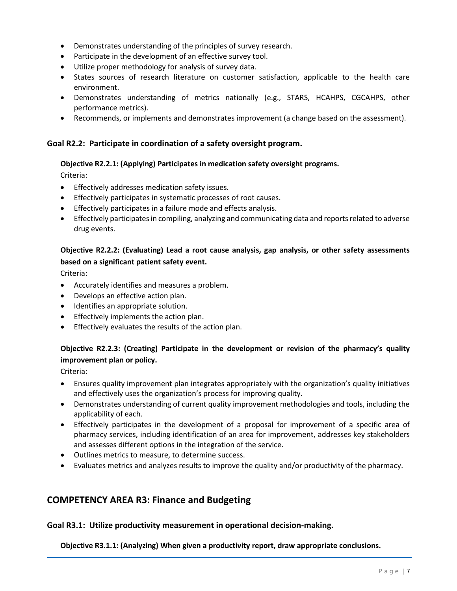- Demonstrates understanding of the principles of survey research.
- Participate in the development of an effective survey tool.
- Utilize proper methodology for analysis of survey data.
- States sources of research literature on customer satisfaction, applicable to the health care environment.
- Demonstrates understanding of metrics nationally (e.g., STARS, HCAHPS, CGCAHPS, other performance metrics).
- Recommends, or implements and demonstrates improvement (a change based on the assessment).

#### **Goal R2.2: Participate in coordination of a safety oversight program.**

#### **Objective R2.2.1: (Applying) Participates in medication safety oversight programs.**

Criteria:

- Effectively addresses medication safety issues.
- Effectively participates in systematic processes of root causes.
- Effectively participates in a failure mode and effects analysis.
- Effectively participates in compiling, analyzing and communicating data and reports related to adverse drug events.

#### **Objective R2.2.2: (Evaluating) Lead a root cause analysis, gap analysis, or other safety assessments based on a significant patient safety event.**

Criteria:

- Accurately identifies and measures a problem.
- Develops an effective action plan.
- Identifies an appropriate solution.
- Effectively implements the action plan.
- Effectively evaluates the results of the action plan.

## **Objective R2.2.3: (Creating) Participate in the development or revision of the pharmacy's quality improvement plan or policy.**

Criteria:

- Ensures quality improvement plan integrates appropriately with the organization's quality initiatives and effectively uses the organization's process for improving quality.
- Demonstrates understanding of current quality improvement methodologies and tools, including the applicability of each.
- Effectively participates in the development of a proposal for improvement of a specific area of pharmacy services, including identification of an area for improvement, addresses key stakeholders and assesses different options in the integration of the service.
- Outlines metrics to measure, to determine success.
- Evaluates metrics and analyzes results to improve the quality and/or productivity of the pharmacy.

## **COMPETENCY AREA R3: Finance and Budgeting**

#### **Goal R3.1: Utilize productivity measurement in operational decision-making.**

**Objective R3.1.1: (Analyzing) When given a productivity report, draw appropriate conclusions.**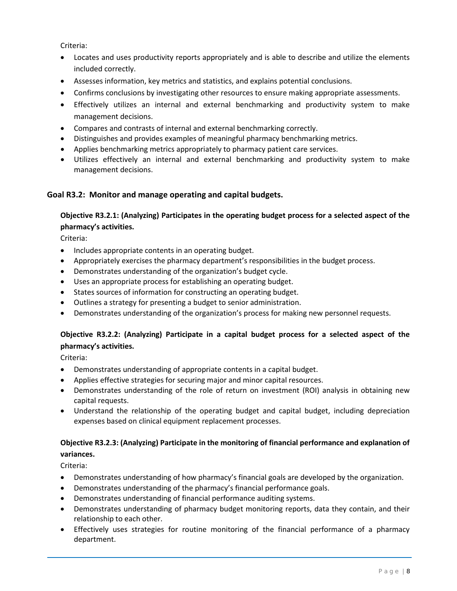Criteria:

- Locates and uses productivity reports appropriately and is able to describe and utilize the elements included correctly.
- Assesses information, key metrics and statistics, and explains potential conclusions.
- Confirms conclusions by investigating other resources to ensure making appropriate assessments.
- Effectively utilizes an internal and external benchmarking and productivity system to make management decisions.
- Compares and contrasts of internal and external benchmarking correctly.
- Distinguishes and provides examples of meaningful pharmacy benchmarking metrics.
- Applies benchmarking metrics appropriately to pharmacy patient care services.
- Utilizes effectively an internal and external benchmarking and productivity system to make management decisions.

#### **Goal R3.2: Monitor and manage operating and capital budgets.**

## **Objective R3.2.1: (Analyzing) Participates in the operating budget process for a selected aspect of the pharmacy's activities.**

Criteria:

- Includes appropriate contents in an operating budget.
- Appropriately exercises the pharmacy department's responsibilities in the budget process.
- Demonstrates understanding of the organization's budget cycle.
- Uses an appropriate process for establishing an operating budget.
- States sources of information for constructing an operating budget.
- Outlines a strategy for presenting a budget to senior administration.
- Demonstrates understanding of the organization's process for making new personnel requests.

## **Objective R3.2.2: (Analyzing) Participate in a capital budget process for a selected aspect of the pharmacy's activities.**

Criteria:

- Demonstrates understanding of appropriate contents in a capital budget.
- Applies effective strategies for securing major and minor capital resources.
- Demonstrates understanding of the role of return on investment (ROI) analysis in obtaining new capital requests.
- Understand the relationship of the operating budget and capital budget, including depreciation expenses based on clinical equipment replacement processes.

## **Objective R3.2.3: (Analyzing) Participate in the monitoring of financial performance and explanation of variances.**

- Demonstrates understanding of how pharmacy's financial goals are developed by the organization.
- Demonstrates understanding of the pharmacy's financial performance goals.
- Demonstrates understanding of financial performance auditing systems.
- Demonstrates understanding of pharmacy budget monitoring reports, data they contain, and their relationship to each other.
- Effectively uses strategies for routine monitoring of the financial performance of a pharmacy department.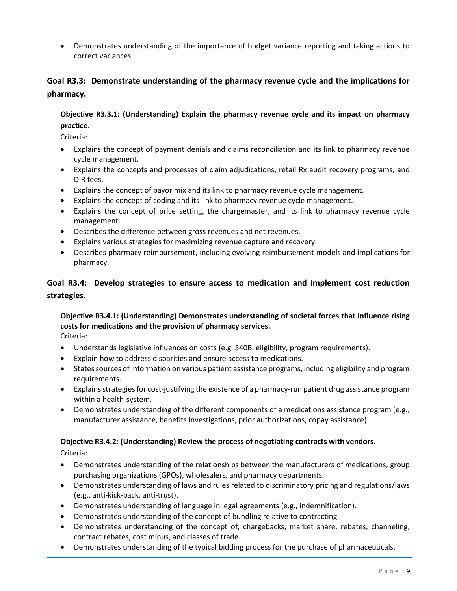• Demonstrates understanding of the importance of budget variance reporting and taking actions to correct variances.

## **Goal R3.3: Demonstrate understanding of the pharmacy revenue cycle and the implications for pharmacy.**

## **Objective R3.3.1: (Understanding) Explain the pharmacy revenue cycle and its impact on pharmacy practice.**

Criteria:

- Explains the concept of payment denials and claims reconciliation and its link to pharmacy revenue cycle management.
- Explains the concepts and processes of claim adjudications, retail Rx audit recovery programs, and DIR fees.
- Explains the concept of payor mix and its link to pharmacy revenue cycle management.
- Explains the concept of coding and its link to pharmacy revenue cycle management.
- Explains the concept of price setting, the chargemaster, and its link to pharmacy revenue cycle management.
- Describes the difference between gross revenues and net revenues.
- Explains various strategies for maximizing revenue capture and recovery.
- Describes pharmacy reimbursement, including evolving reimbursement models and implications for pharmacy.

## **Goal R3.4: Develop strategies to ensure access to medication and implement cost reduction strategies.**

# **Objective R3.4.1: (Understanding) Demonstrates understanding of societal forces that influence rising costs for medications and the provision of pharmacy services.**

Criteria:

- Understands legislative influences on costs (e.g. 340B, eligibility, program requirements).
- Explain how to address disparities and ensure access to medications.
- Statessources of information on various patient assistance programs, including eligibility and program requirements.
- Explainsstrategies for cost-justifying the existence of a pharmacy-run patient drug assistance program within a health-system.
- Demonstrates understanding of the different components of a medications assistance program (e.g., manufacturer assistance, benefits investigations, prior authorizations, copay assistance).

#### **Objective R3.4.2: (Understanding) Review the process of negotiating contracts with vendors.**

- Demonstrates understanding of the relationships between the manufacturers of medications, group purchasing organizations (GPOs), wholesalers, and pharmacy departments.
- Demonstrates understanding of laws and rules related to discriminatory pricing and regulations/laws (e.g., anti-kick-back, anti-trust).
- Demonstrates understanding of language in legal agreements (e.g., indemnification).
- Demonstrates understanding of the concept of bundling relative to contracting.
- Demonstrates understanding of the concept of, chargebacks, market share, rebates, channeling, contract rebates, cost minus, and classes of trade.
- Demonstrates understanding of the typical bidding process for the purchase of pharmaceuticals.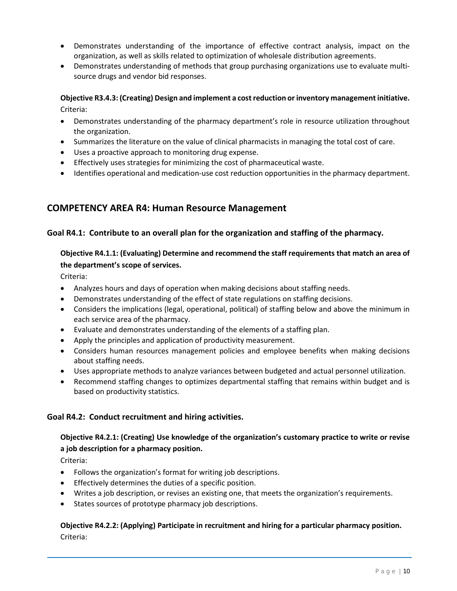- Demonstrates understanding of the importance of effective contract analysis, impact on the organization, as well as skills related to optimization of wholesale distribution agreements.
- Demonstrates understanding of methods that group purchasing organizations use to evaluate multisource drugs and vendor bid responses.

## **Objective R3.4.3: (Creating) Design and implement a cost reduction or inventory managementinitiative.** Criteria:

- Demonstrates understanding of the pharmacy department's role in resource utilization throughout the organization.
- Summarizes the literature on the value of clinical pharmacists in managing the total cost of care.
- Uses a proactive approach to monitoring drug expense.
- Effectively uses strategies for minimizing the cost of pharmaceutical waste.
- Identifies operational and medication-use cost reduction opportunities in the pharmacy department.

# **COMPETENCY AREA R4: Human Resource Management**

#### **Goal R4.1: Contribute to an overall plan for the organization and staffing of the pharmacy.**

## **Objective R4.1.1: (Evaluating) Determine and recommend the staff requirements that match an area of the department's scope of services.**

Criteria:

- Analyzes hours and days of operation when making decisions about staffing needs.
- Demonstrates understanding of the effect of state regulations on staffing decisions.
- Considers the implications (legal, operational, political) of staffing below and above the minimum in each service area of the pharmacy.
- Evaluate and demonstrates understanding of the elements of a staffing plan.
- Apply the principles and application of productivity measurement.
- Considers human resources management policies and employee benefits when making decisions about staffing needs.
- Uses appropriate methods to analyze variances between budgeted and actual personnel utilization.
- Recommend staffing changes to optimizes departmental staffing that remains within budget and is based on productivity statistics.

#### **Goal R4.2: Conduct recruitment and hiring activities.**

#### **Objective R4.2.1: (Creating) Use knowledge of the organization's customary practice to write or revise a job description for a pharmacy position.**

Criteria:

- Follows the organization's format for writing job descriptions.
- Effectively determines the duties of a specific position.
- Writes a job description, or revises an existing one, that meets the organization's requirements.
- States sources of prototype pharmacy job descriptions.

## **Objective R4.2.2: (Applying) Participate in recruitment and hiring for a particular pharmacy position.**  Criteria: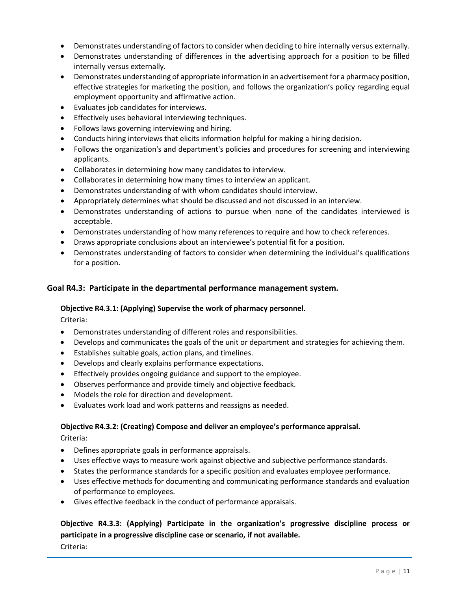- Demonstrates understanding of factors to consider when deciding to hire internally versus externally.
- Demonstrates understanding of differences in the advertising approach for a position to be filled internally versus externally.
- Demonstrates understanding of appropriate information in an advertisement for a pharmacy position, effective strategies for marketing the position, and follows the organization's policy regarding equal employment opportunity and affirmative action.
- Evaluates job candidates for interviews.
- Effectively uses behavioral interviewing techniques.
- Follows laws governing interviewing and hiring.
- Conducts hiring interviews that elicits information helpful for making a hiring decision.
- Follows the organization's and department's policies and procedures for screening and interviewing applicants.
- Collaborates in determining how many candidates to interview.
- Collaborates in determining how many times to interview an applicant.
- Demonstrates understanding of with whom candidates should interview.
- Appropriately determines what should be discussed and not discussed in an interview.
- Demonstrates understanding of actions to pursue when none of the candidates interviewed is acceptable.
- Demonstrates understanding of how many references to require and how to check references.
- Draws appropriate conclusions about an interviewee's potential fit for a position.
- Demonstrates understanding of factors to consider when determining the individual's qualifications for a position.

#### **Goal R4.3: Participate in the departmental performance management system.**

#### **Objective R4.3.1: (Applying) Supervise the work of pharmacy personnel.**

Criteria:

- Demonstrates understanding of different roles and responsibilities.
- Develops and communicates the goals of the unit or department and strategies for achieving them.
- Establishes suitable goals, action plans, and timelines.
- Develops and clearly explains performance expectations.
- Effectively provides ongoing guidance and support to the employee.
- Observes performance and provide timely and objective feedback.
- Models the role for direction and development.
- Evaluates work load and work patterns and reassigns as needed.

#### **Objective R4.3.2: (Creating) Compose and deliver an employee's performance appraisal.**

Criteria:

- Defines appropriate goals in performance appraisals.
- Uses effective ways to measure work against objective and subjective performance standards.
- States the performance standards for a specific position and evaluates employee performance.
- Uses effective methods for documenting and communicating performance standards and evaluation of performance to employees.
- Gives effective feedback in the conduct of performance appraisals.

**Objective R4.3.3: (Applying) Participate in the organization's progressive discipline process or participate in a progressive discipline case or scenario, if not available.**  Criteria: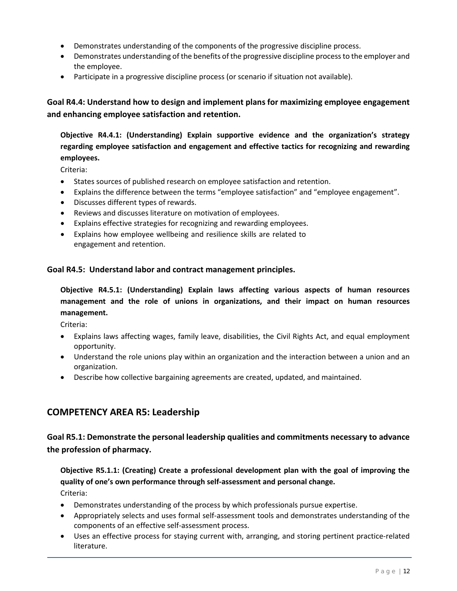- Demonstrates understanding of the components of the progressive discipline process.
- Demonstrates understanding of the benefits of the progressive discipline process to the employer and the employee.
- Participate in a progressive discipline process (or scenario if situation not available).

**Goal R4.4: Understand how to design and implement plans for maximizing employee engagement and enhancing employee satisfaction and retention.**

**Objective R4.4.1: (Understanding) Explain supportive evidence and the organization's strategy regarding employee satisfaction and engagement and effective tactics for recognizing and rewarding employees.**

Criteria:

- States sources of published research on employee satisfaction and retention.
- Explains the difference between the terms "employee satisfaction" and "employee engagement".
- Discusses different types of rewards.
- Reviews and discusses literature on motivation of employees.
- Explains effective strategies for recognizing and rewarding employees.
- Explains how employee wellbeing and resilience skills are related to engagement and retention.

#### **Goal R4.5: Understand labor and contract management principles.**

**Objective R4.5.1: (Understanding) Explain laws affecting various aspects of human resources management and the role of unions in organizations, and their impact on human resources management.**

Criteria:

- Explains laws affecting wages, family leave, disabilities, the Civil Rights Act, and equal employment opportunity.
- Understand the role unions play within an organization and the interaction between a union and an organization.
- Describe how collective bargaining agreements are created, updated, and maintained.

## **COMPETENCY AREA R5: Leadership**

**Goal R5.1: Demonstrate the personal leadership qualities and commitments necessary to advance the profession of pharmacy.**

**Objective R5.1.1: (Creating) Create a professional development plan with the goal of improving the quality of one's own performance through self-assessment and personal change.** Criteria:

- Demonstrates understanding of the process by which professionals pursue expertise.
- Appropriately selects and uses formal self-assessment tools and demonstrates understanding of the components of an effective self-assessment process.
- Uses an effective process for staying current with, arranging, and storing pertinent practice-related literature.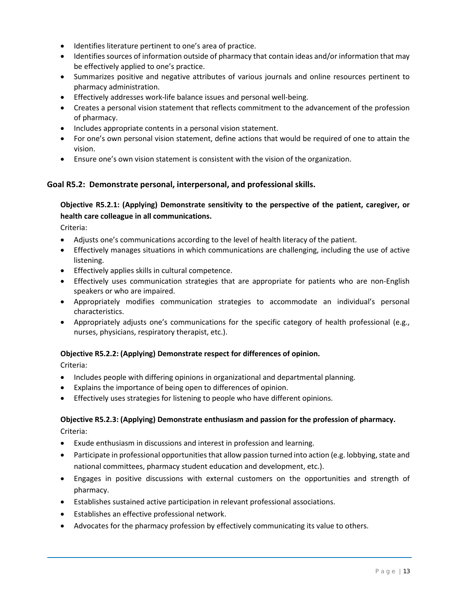- Identifies literature pertinent to one's area of practice.
- Identifies sources of information outside of pharmacy that contain ideas and/or information that may be effectively applied to one's practice.
- Summarizes positive and negative attributes of various journals and online resources pertinent to pharmacy administration.
- Effectively addresses work-life balance issues and personal well-being.
- Creates a personal vision statement that reflects commitment to the advancement of the profession of pharmacy.
- Includes appropriate contents in a personal vision statement.
- For one's own personal vision statement, define actions that would be required of one to attain the vision.
- Ensure one's own vision statement is consistent with the vision of the organization.

## **Goal R5.2: Demonstrate personal, interpersonal, and professional skills.**

## **Objective R5.2.1: (Applying) Demonstrate sensitivity to the perspective of the patient, caregiver, or health care colleague in all communications.**

Criteria:

- Adjusts one's communications according to the level of health literacy of the patient.
- Effectively manages situations in which communications are challenging, including the use of active listening.
- Effectively applies skills in cultural competence.
- Effectively uses communication strategies that are appropriate for patients who are non-English speakers or who are impaired.
- Appropriately modifies communication strategies to accommodate an individual's personal characteristics.
- Appropriately adjusts one's communications for the specific category of health professional (e.g., nurses, physicians, respiratory therapist, etc.).

#### **Objective R5.2.2: (Applying) Demonstrate respect for differences of opinion.**

Criteria:

- Includes people with differing opinions in organizational and departmental planning.
- Explains the importance of being open to differences of opinion.
- Effectively uses strategies for listening to people who have different opinions.

#### **Objective R5.2.3: (Applying) Demonstrate enthusiasm and passion for the profession of pharmacy.** Criteria:

- Exude enthusiasm in discussions and interest in profession and learning.
- Participate in professional opportunities that allow passion turned into action (e.g. lobbying, state and national committees, pharmacy student education and development, etc.).
- Engages in positive discussions with external customers on the opportunities and strength of pharmacy.
- Establishes sustained active participation in relevant professional associations.
- Establishes an effective professional network.
- Advocates for the pharmacy profession by effectively communicating its value to others.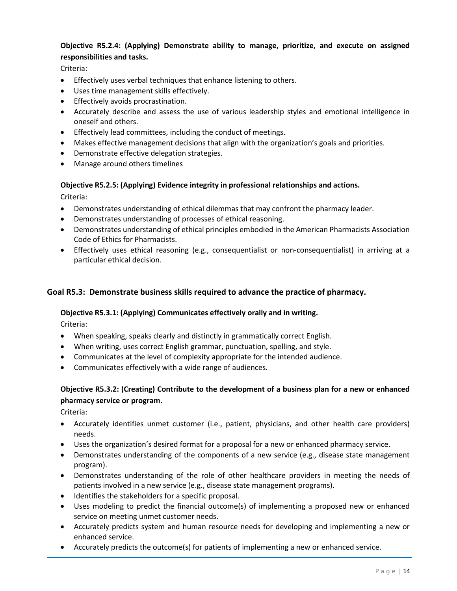# **Objective R5.2.4: (Applying) Demonstrate ability to manage, prioritize, and execute on assigned responsibilities and tasks.**

Criteria:

- Effectively uses verbal techniques that enhance listening to others.
- Uses time management skills effectively.
- Effectively avoids procrastination.
- Accurately describe and assess the use of various leadership styles and emotional intelligence in oneself and others.
- Effectively lead committees, including the conduct of meetings.
- Makes effective management decisions that align with the organization's goals and priorities.
- Demonstrate effective delegation strategies.
- Manage around others timelines

# **Objective R5.2.5: (Applying) Evidence integrity in professional relationships and actions.**

Criteria:

- Demonstrates understanding of ethical dilemmas that may confront the pharmacy leader.
- Demonstrates understanding of processes of ethical reasoning.
- Demonstrates understanding of ethical principles embodied in the American Pharmacists Association Code of Ethics for Pharmacists.
- Effectively uses ethical reasoning (e.g., consequentialist or non-consequentialist) in arriving at a particular ethical decision.

#### **Goal R5.3: Demonstrate business skills required to advance the practice of pharmacy.**

#### **Objective R5.3.1: (Applying) Communicates effectively orally and in writing.**

Criteria:

- When speaking, speaks clearly and distinctly in grammatically correct English.
- When writing, uses correct English grammar, punctuation, spelling, and style.
- Communicates at the level of complexity appropriate for the intended audience.
- Communicates effectively with a wide range of audiences.

#### **Objective R5.3.2: (Creating) Contribute to the development of a business plan for a new or enhanced pharmacy service or program.**

- Accurately identifies unmet customer (i.e., patient, physicians, and other health care providers) needs.
- Uses the organization's desired format for a proposal for a new or enhanced pharmacy service.
- Demonstrates understanding of the components of a new service (e.g., disease state management program).
- Demonstrates understanding of the role of other healthcare providers in meeting the needs of patients involved in a new service (e.g., disease state management programs).
- Identifies the stakeholders for a specific proposal.
- Uses modeling to predict the financial outcome(s) of implementing a proposed new or enhanced service on meeting unmet customer needs.
- Accurately predicts system and human resource needs for developing and implementing a new or enhanced service.
- Accurately predicts the outcome(s) for patients of implementing a new or enhanced service.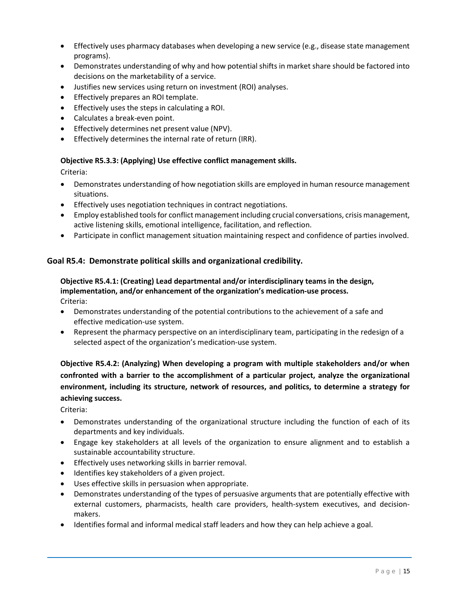- Effectively uses pharmacy databases when developing a new service (e.g., disease state management programs).
- Demonstrates understanding of why and how potential shifts in market share should be factored into decisions on the marketability of a service.
- Justifies new services using return on investment (ROI) analyses.
- Effectively prepares an ROI template.
- Effectively uses the steps in calculating a ROI.
- Calculates a break-even point.
- Effectively determines net present value (NPV).
- Effectively determines the internal rate of return (IRR).

#### **Objective R5.3.3: (Applying) Use effective conflict management skills.**

Criteria:

- Demonstrates understanding of how negotiation skills are employed in human resource management situations.
- Effectively uses negotiation techniques in contract negotiations.
- Employ established tools for conflict management including crucial conversations, crisis management, active listening skills, emotional intelligence, facilitation, and reflection.
- Participate in conflict management situation maintaining respect and confidence of parties involved.

## **Goal R5.4: Demonstrate political skills and organizational credibility.**

#### **Objective R5.4.1: (Creating) Lead departmental and/or interdisciplinary teams in the design, implementation, and/or enhancement of the organization's medication-use process.** Criteria:

- Demonstrates understanding of the potential contributions to the achievement of a safe and effective medication-use system.
- Represent the pharmacy perspective on an interdisciplinary team, participating in the redesign of a selected aspect of the organization's medication-use system.

**Objective R5.4.2: (Analyzing) When developing a program with multiple stakeholders and/or when confronted with a barrier to the accomplishment of a particular project, analyze the organizational environment, including its structure, network of resources, and politics, to determine a strategy for achieving success.**

- Demonstrates understanding of the organizational structure including the function of each of its departments and key individuals.
- Engage key stakeholders at all levels of the organization to ensure alignment and to establish a sustainable accountability structure.
- Effectively uses networking skills in barrier removal.
- Identifies key stakeholders of a given project.
- Uses effective skills in persuasion when appropriate.
- Demonstrates understanding of the types of persuasive arguments that are potentially effective with external customers, pharmacists, health care providers, health-system executives, and decisionmakers.
- Identifies formal and informal medical staff leaders and how they can help achieve a goal.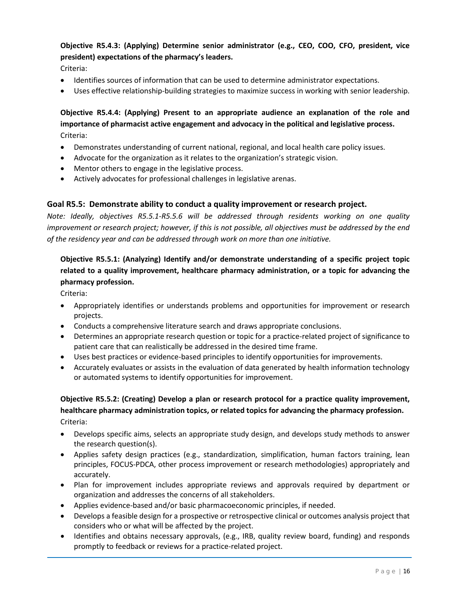# **Objective R5.4.3: (Applying) Determine senior administrator (e.g., CEO, COO, CFO, president, vice president) expectations of the pharmacy's leaders.**

Criteria:

- Identifies sources of information that can be used to determine administrator expectations.
- Uses effective relationship-building strategies to maximize success in working with senior leadership.

## **Objective R5.4.4: (Applying) Present to an appropriate audience an explanation of the role and importance of pharmacist active engagement and advocacy in the political and legislative process.** Criteria:

- Demonstrates understanding of current national, regional, and local health care policy issues.
- Advocate for the organization as it relates to the organization's strategic vision.
- Mentor others to engage in the legislative process.
- Actively advocates for professional challenges in legislative arenas.

#### **Goal R5.5: Demonstrate ability to conduct a quality improvement or research project.**

*Note: Ideally, objectives R5.5.1-R5.5.6 will be addressed through residents working on one quality improvement or research project; however, if this is not possible, all objectives must be addressed by the end of the residency year and can be addressed through work on more than one initiative.* 

## **Objective R5.5.1: (Analyzing) Identify and/or demonstrate understanding of a specific project topic related to a quality improvement, healthcare pharmacy administration, or a topic for advancing the pharmacy profession.**

Criteria:

- Appropriately identifies or understands problems and opportunities for improvement or research projects.
- Conducts a comprehensive literature search and draws appropriate conclusions.
- Determines an appropriate research question or topic for a practice-related project of significance to patient care that can realistically be addressed in the desired time frame.
- Uses best practices or evidence-based principles to identify opportunities for improvements.
- Accurately evaluates or assists in the evaluation of data generated by health information technology or automated systems to identify opportunities for improvement.

## **Objective R5.5.2: (Creating) Develop a plan or research protocol for a practice quality improvement, healthcare pharmacy administration topics, or related topics for advancing the pharmacy profession.**  Criteria:

- Develops specific aims, selects an appropriate study design, and develops study methods to answer the research question(s).
- Applies safety design practices (e.g., standardization, simplification, human factors training, lean principles, FOCUS-PDCA, other process improvement or research methodologies) appropriately and accurately.
- Plan for improvement includes appropriate reviews and approvals required by department or organization and addresses the concerns of all stakeholders.
- Applies evidence-based and/or basic pharmacoeconomic principles, if needed.
- Develops a feasible design for a prospective or retrospective clinical or outcomes analysis project that considers who or what will be affected by the project.
- Identifies and obtains necessary approvals, (e.g., IRB, quality review board, funding) and responds promptly to feedback or reviews for a practice-related project.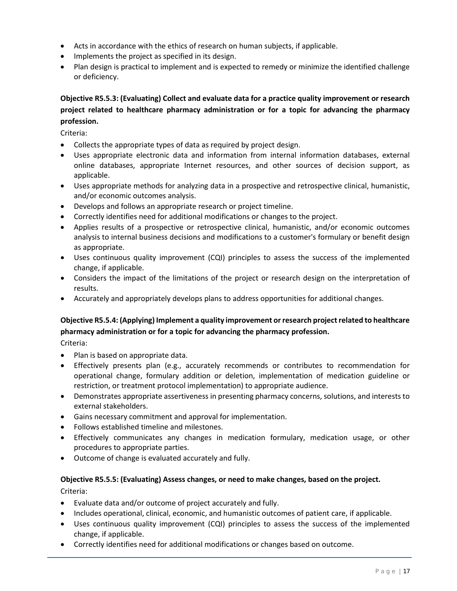- Acts in accordance with the ethics of research on human subjects, if applicable.
- Implements the project as specified in its design.
- Plan design is practical to implement and is expected to remedy or minimize the identified challenge or deficiency.

# **Objective R5.5.3: (Evaluating) Collect and evaluate data for a practice quality improvement or research project related to healthcare pharmacy administration or for a topic for advancing the pharmacy profession.**

Criteria:

- Collects the appropriate types of data as required by project design.
- Uses appropriate electronic data and information from internal information databases, external online databases, appropriate Internet resources, and other sources of decision support, as applicable.
- Uses appropriate methods for analyzing data in a prospective and retrospective clinical, humanistic, and/or economic outcomes analysis.
- Develops and follows an appropriate research or project timeline.
- Correctly identifies need for additional modifications or changes to the project.
- Applies results of a prospective or retrospective clinical, humanistic, and/or economic outcomes analysis to internal business decisions and modifications to a customer's formulary or benefit design as appropriate.
- Uses continuous quality improvement (CQI) principles to assess the success of the implemented change, if applicable.
- Considers the impact of the limitations of the project or research design on the interpretation of results.
- Accurately and appropriately develops plans to address opportunities for additional changes.

## **Objective R5.5.4: (Applying) Implement a quality improvement or research project related to healthcare pharmacy administration or for a topic for advancing the pharmacy profession.**

Criteria:

- Plan is based on appropriate data.
- Effectively presents plan (e.g., accurately recommends or contributes to recommendation for operational change, formulary addition or deletion, implementation of medication guideline or restriction, or treatment protocol implementation) to appropriate audience.
- Demonstrates appropriate assertiveness in presenting pharmacy concerns, solutions, and interests to external stakeholders.
- Gains necessary commitment and approval for implementation.
- Follows established timeline and milestones.
- Effectively communicates any changes in medication formulary, medication usage, or other procedures to appropriate parties.
- Outcome of change is evaluated accurately and fully.

## **Objective R5.5.5: (Evaluating) Assess changes, or need to make changes, based on the project.**  Criteria:

- Evaluate data and/or outcome of project accurately and fully.
- Includes operational, clinical, economic, and humanistic outcomes of patient care, if applicable.
- Uses continuous quality improvement (CQI) principles to assess the success of the implemented change, if applicable.
- Correctly identifies need for additional modifications or changes based on outcome.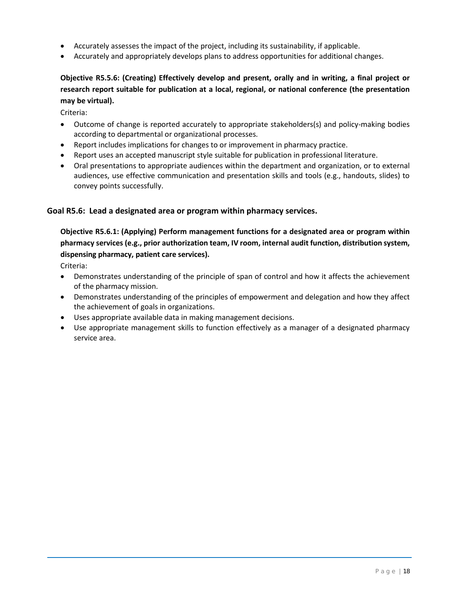- Accurately assesses the impact of the project, including its sustainability, if applicable.
- Accurately and appropriately develops plans to address opportunities for additional changes.

## **Objective R5.5.6: (Creating) Effectively develop and present, orally and in writing, a final project or research report suitable for publication at a local, regional, or national conference (the presentation may be virtual).**

Criteria:

- Outcome of change is reported accurately to appropriate stakeholders(s) and policy-making bodies according to departmental or organizational processes.
- Report includes implications for changes to or improvement in pharmacy practice.
- Report uses an accepted manuscript style suitable for publication in professional literature.
- Oral presentations to appropriate audiences within the department and organization, or to external audiences, use effective communication and presentation skills and tools (e.g., handouts, slides) to convey points successfully.

#### **Goal R5.6: Lead a designated area or program within pharmacy services.**

**Objective R5.6.1: (Applying) Perform management functions for a designated area or program within pharmacy services (e.g., prior authorization team, IV room, internal audit function, distribution system, dispensing pharmacy, patient care services).**

- Demonstrates understanding of the principle of span of control and how it affects the achievement of the pharmacy mission.
- Demonstrates understanding of the principles of empowerment and delegation and how they affect the achievement of goals in organizations.
- Uses appropriate available data in making management decisions.
- Use appropriate management skills to function effectively as a manager of a designated pharmacy service area.